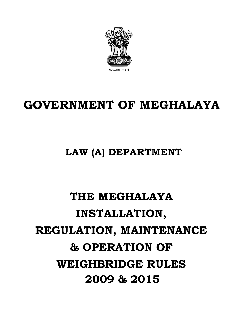

## **GOVERNMENT OF MEGHALAYA**

### **LAW (A) DEPARTMENT**

# **THE MEGHALAYA INSTALLATION, REGULATION, MAINTENANCE & OPERATION OF WEIGHBRIDGE RULES 2009 & 2015**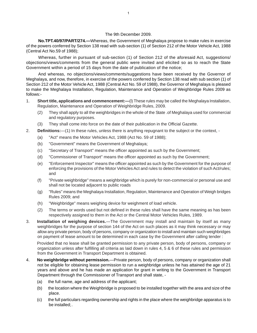#### The 9th December 2009.

**No.TPT.40/97/PART/274.—**Whereas, the Government of Meghalaya propose to make rules in exercise of the powers conferred by Section 138 read with sub-section (1) of Section 212 of the Motor Vehicle Act, 1988 (Central Act No.59 of 1988);

Whereas, further in pursuant of sub-section (1) of Section 212 of the aforesaid Act, suggestions/ objections/views/comments from the general public were invited and elicited so as to reach the State Government within a period of 15 days from the date of publication of the notice;

And whereas, no objections/views/comments/suggestions have been received by the Governor of Meghalaya, and now, therefore, in exercise of the powers conferred by Section 138 read with sub section (1) of Section 212 of the Motor Vehicle Act, 1988 (Central Act No. 59 of 1988), the Governor of Meghalaya is pleased to make the Meghalaya Installation, Regulation, Maintenance and Operation of Weighbridge Rules 2009 as follows:-

- 1. **Short title, applications and commencement:—**(l) These rules may be called the Meghalaya Installation, Regulation, Maintenance and Operation of Weighbridge Rules, 2009.
	- (2) They shall apply to all the weighbridges in the whole of the State .of Meghalaya used for commercial and regulatory purposes.
	- (3) They shall come into force on the date of their publication in the Official Gazette.
- 2. **Definitions:**—(1) In these rules, unless there is anything repugnant to the subject or the context,
	- (a) "Act" means the Motor Vehicles Act, 1988 (Act No. 59 of 1988);
	- (b) "Government" means the Government of Meghalaya;
	- (c) "Secretary of Transport" means the officer appointed as such by the Government;
	- (d) "Commissioner of Transport" means the officer appointed as such by the Government;
	- (e) "Enforcement Inspector" means the officer appointed as such by the Government for the purpose of enforcing the provisions of the Motor Vehicles Act and rules to detect the violation of such Act/rules; and
	- (f) "Private weighbridge" means a weighbridge which is purely for non-commercial or personal use and shall not be located adjacent to public roads
	- (g) "Rules" means the Meghalaya Installation, Regulation, Maintenance and Operation of Weigh bridges Rules 2009; and
	- (h) "Weighbridge" means weighing device for weighment of load vehicle.
	- (2) The terms or words used but not defined in these rules shall have the same meaning as has been respectively assigned to them in the Act or the Central Motor Vehicles Rules, 1989.
- 3. **Installation of weighing devices.**—The Government may install and maintain by itself as many weighbridges for the purpose of section 144 of the Act on such places as it may think necessary or may allow any private person, body of persons, company or organization to install and maintain such weighbridges on payment of lease amount to be determined in each case by the Government after calling tender :

Provided that no lease shall be granted permission to any private person, body of persons, company or organization unless after fulfilling all criteria as laid down in rules 4, 5 & 6 of these rules and permission from the Government in Transport Department is obtained.

- 4. **No weighbridge without permission.**—Private person, body of persons, company or organization shall not be eligible for obtaining lease permission to run a weighbridge unless he has attained the age of 21 years and above and he has made an application for grant in writing to the Government in Transport Department through the Commissioner of Transport and shall state, -
	- (a) the full name, age and address of the applicant;
	- (b) the location where the Weighbridge is proposed to be installed together with the area and size of the place.
	- (c) the full particulars regarding ownership and rights in the place where the weighbridge apparatus is to be installed;.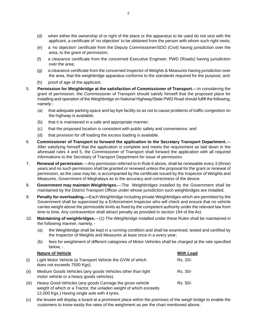- (d) when either the ownership of or right of the place or the apparatus to be used do not vest with the applicant, a certificate of 'no objection' to be obtained from the person with whom such right vests;
- (e) a 'no objection' certificate from the Deputy Commissioner/SDO (Civil) having jurisdiction over the area, to the grant of permission;
- (f) a clearance certificate from the concerned Executive Engineer, PWD (Roads) having jurisdiction over the area;
- (g) a clearance certificate from the concerned Inspector of Weights & Measures having jurisdiction over the area, that the weighbridge apparatus conforms to the standards required for the purpose; and
- (h) proof of age of the applicant.
- 5. **Permission for Weighbridge at the satisfaction of Commissioner of Transport.**—In considering the grant of permission, the Commissioner of Transport should satisfy himself that the proposed place for installing and operation of the Weighbridge on National Highway/State PWD Road should fulfill the following, namely:-
	- (a) that adequate parking space and lay bye facility so as not to cause problems of traffic congestion on the highway is available;
	- (b) that it is maintained in a safe and appropriate manner;
	- (c) that the proposed location is consistent with public safety and convenience; and
	- (d) that provision for off loading the excess loading is available.
- 6. **Commissioner of Transport to forward the application to the Secretary Transport Department.** After satisfying himself that the application is complete and meets the requirement as laid down in the aforesaid rules 4 and 5, the Commissioner of Transport shall forward the application with all required informations to the Secretary of Transport Department for issue of permission.
- 7. **Renewal of permission**.—Any permission referred to in Rule 6 above, shall be renewable every 3 (three) years and no such permission shall be granted or renewed unless the proposal for the grant or renewal of permission, as the case may be, is accompanied by the certificate issued by the Inspector of Weights and Measures, Government of Meghalaya as to the accuracy and correctness of the device.
- 8. **Government may maintain Weighbriges.**—The Weighbridges installed by the Government shall be maintained by the District Transport Officer under whose jurisdiction such weighbridges are installed.
- 9. **Penalty for overloading.—**Each Weighbridge including private Weighbridges which are permitted by the Government shall be supervised by a Enforcement Inspector who will check and ensure that no vehicle carries weight above the permissible limits as fixed by the competent authority under the relevant law from time to time. Any contravention shall attract penalty as provided in section 194 of the Act.
- 10. **Maintaining of weighbridges.**—(1) The Weighbridge installed under these Rules shall be maintained in the following manner, namely, -
	- (a) the Weighbridge shall be kept in a running condition and shall be examined, tested and certified by the Inspector of Weights and Measures at least once in a every year;
	- (b) fees for weightment of different categories of Motor Vehicles shall be charged at the rate specified below, -

|       | <b>Nature of Vehicle</b>                                                                                                                                                        | <b>With Load</b> |
|-------|---------------------------------------------------------------------------------------------------------------------------------------------------------------------------------|------------------|
| (i)   | Light Motor Vehicle (a Transport Vehicle the GVW of which<br>does not exceeds 7500 Kgs).                                                                                        | $Rs. 20/-$       |
| (ii)  | Medium Goods Vehicles (any goods Vehicles other than light<br>motor vehicle or a heavy goods vehicles).                                                                         | $Rs. 30/-$       |
| (iii) | Heavy Good Vehicles (any goods Carriage the gross vehicle<br>weight of which or a Tractor, the unladen weight of which exceeds<br>12,000 Kgs.) Having single axle with 4 tyres. | Rs. 50/-         |

(c) the lessee will display a board at a prominent place within the premises of the weigh bridge to enable the customers to know easily the rates of the weighment as per the chart mentioned above;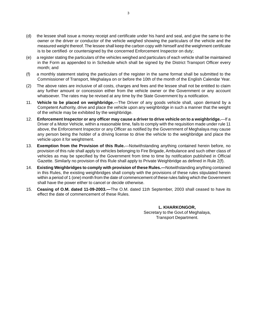- (d) the lessee shall issue a money receipt and certificate under his hand and seal, and give the same to the owner or the driver or conductor of the vehicle weighed showing the particulars of the vehicle and the measured weight thereof. The lessee shall keep the carbon copy with himself and the weighment certificate is to be certified· or countersigned by the concerned Enforcement Inspector on duty;
- (e) a register stating the particulars of the vehicles weighed and particulars of each vehicle shall be maintained in the Form as appended to in Schedule which shall be signed by the District Transport Officer every month; and
- (f) a monthly statement stating the particulars of the register in the same format shall be submitted to the Commissioner of Transport, Meghalaya on or before the 10th of the month of the English Calendar Year.
- (2) The above rates are inclusive of all costs, charges and fees and the lessee shall not be entitled to claim any further amount or concession either from the vehicle owner or the Government or any account whatsoever. The rates may be revised at any time by the State Government by a notification.
- 11. **Vehicle to be placed on weighbridge.**—The Driver of any goods vehicle shall, upon demand by a Competent Authority, drive and place the vehicle upon any weighbridge in such a manner that the weight of the vehicle may be exhibited by the weighbridge.
- 12. **Enforcement Inspector or any officer may cause a driver to drive vehicle on to a weighbridge.**—If a Driver of a Motor Vehicle, within a reasonable time, fails to comply with the requisition made under rule 11 above, the Enforcement Inspector or any Officer as notified by the Government of Meghalaya may cause any person being the holder of a driving license to drive the vehicle to the weighbridge and place the vehicle upon it for weightment.
- 13. **Exemption from the Provision of this Rule.**—Notwithstanding anything contained herein before, no provision of this rule shall apply to vehicles belonging to Fire Brigade, Ambulance and such other class of vehicles as may be specified by the Government from time to time by notification published in Official Gazette. Similarly no provision of this Rule shall apply to Private Weighbridge as defined in Rule 2(f).
- 14. **Existing Weighbridges to comply with provision of these Rules.—**Notwithstanding anything contained in this Rules, the existing weighbridges shall comply with the provisions of these rules stipulated herein within a period of 1 (one) month from the date of commencement of these rules failing which the Government shall have the power either to cancel or decide otherwise.
- 15. **Ceasing of O.M. dated 11-09-2003.—**The O.M. dated 11th September, 2003 shall ceased to have its effect the date of commencement of these Rules.

**L. KHARKONGOR,** Secretary to the Govt.of Meghalaya, Transport Department.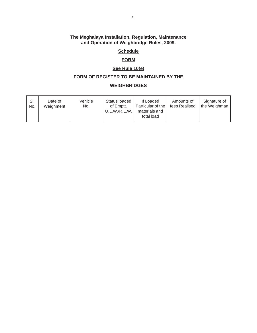#### **The Meghalaya Installation, Regulation, Maintenance and Operation of Weighbridge Rules, 2009.**

#### **Schedule**

#### **FORM**

#### **See Rule 10(e)**

#### **FORM OF REGISTER TO BE MAINTAINED BY THE**

#### **WEIGHBRIDGES**

| SI.<br>No. | Date of<br>Weighment | Vehicle<br>No. | Status loaded<br>of Emptt.<br>U.L.W./R.L.W. | If Loaded<br>Particular of the<br>materials and<br>total load | Amounts of<br>fees Realised | Signature of<br>the Weighman |
|------------|----------------------|----------------|---------------------------------------------|---------------------------------------------------------------|-----------------------------|------------------------------|
|------------|----------------------|----------------|---------------------------------------------|---------------------------------------------------------------|-----------------------------|------------------------------|